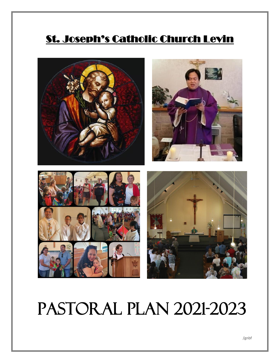## St. Joseph's Catholic Church Levin



# Pastoral Plan 2021-2023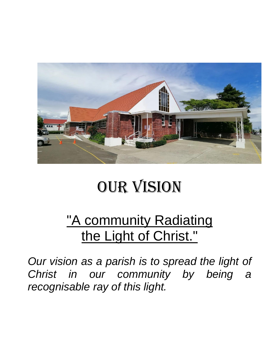

# Our vision

## "A community Radiating the Light of Christ."

*Our vision as a parish is to spread the light of Christ in our community by being a recognisable ray of this light.*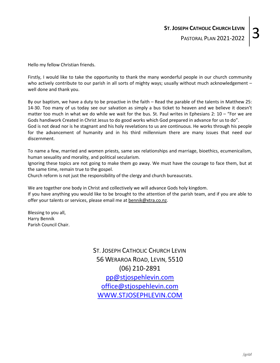Hello my fellow Christian friends.

Firstly, I would like to take the opportunity to thank the many wonderful people in our church community who actively contribute to our parish in all sorts of mighty ways; usually without much acknowledgement well done and thank you.

By our baptism, we have a duty to be proactive in the faith – Read the parable of the talents in Matthew 25: 14-30. Too many of us today see our salvation as simply a bus ticket to heaven and we believe it doesn't matter too much in what we do while we wait for the bus. St. Paul writes in Ephesians 2: 10 – "For we are Gods handiwork Created in Christ Jesus to do good works which God prepared in advance for us to do". God is not dead nor is he stagnant and his holy revelations to us are continuous. He works through his people for the advancement of humanity and in his third millennium there are many issues that need our discernment.

To name a few, married and women priests, same sex relationships and marriage, bioethics, ecumenicalism, human sexuality and morality, and political secularism.

Ignoring these topics are not going to make them go away. We must have the courage to face them, but at the same time, remain true to the gospel.

Church reform is not just the responsibility of the clergy and church bureaucrats.

We are together one body in Christ and collectively we will advance Gods holy kingdom. If you have anything you would like to be brought to the attention of the parish team, and if you are able to offer your talents or services, please email me at [bennik@xtra.co.nz.](mailto:bennik@xtra.co.nz)

Blessing to you all, Harry Bennik Parish Council Chair.

> ST. JOSEPH CATHOLIC CHURCH LEVIN 56 WERAROA ROAD, LEVIN, 5510 (06) 210-2891 [pp@stjospehlevin.com](mailto:pp@stjospehlevin.com) [office@stjospehlevin.com](mailto:office@stjospehlevin.com) [WWW.STJOSEPHLEVIN.COM](http://www.stjosephlevin.com/)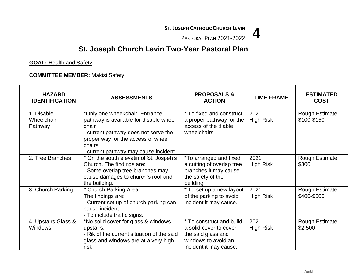EPH CATHOLIC CHURCH LEVIN  $\vert 4$ 

## **St. Joseph Church Levin Two-Year Pastoral Plan**

**GOAL:** Health and Safety

**COMMITTEE MEMBER:** Makisi Safety

| <b>HAZARD</b><br><b>IDENTIFICATION</b> | <b>ASSESSMENTS</b>                                                                                                                                                                                                  | <b>PROPOSALS &amp;</b><br><b>ACTION</b>                                                                                   | <b>TIME FRAME</b>        | <b>ESTIMATED</b><br><b>COST</b>       |
|----------------------------------------|---------------------------------------------------------------------------------------------------------------------------------------------------------------------------------------------------------------------|---------------------------------------------------------------------------------------------------------------------------|--------------------------|---------------------------------------|
| 1. Disable<br>Wheelchair<br>Pathway    | *Only one wheekchair. Entrance<br>pathway is available for disable wheel<br>chair<br>- current pathway does not serve the<br>proper way for the access of wheel<br>chairs.<br>- current pathway may cause incident. | * To fixed and construct<br>a proper pathway for the<br>access of the diable<br>wheelchairs                               | 2021<br><b>High Risk</b> | <b>Rough Estimate</b><br>\$100-\$150. |
| 2. Tree Branches                       | * On the south elevatin of St. Jospeh's<br>Church. The findings are:<br>- Some overlap tree branches may<br>cause damages to church's roof and<br>the building.                                                     | <i>*To arranged and fixed</i><br>a cutting of overlap tree<br>branches it may cause<br>the safety of the<br>building.     | 2021<br><b>High Risk</b> | <b>Rough Estimate</b><br>\$300        |
| 3. Church Parking                      | * Church Parking Area.<br>The findings are:<br>- Current set up of church parking can<br>cause incident<br>- To include traffic signs.                                                                              | * To set up a new layout<br>of the parking to avoid<br>incident it may cause.                                             | 2021<br><b>High Risk</b> | <b>Rough Estimate</b><br>\$400-\$500  |
| 4. Upstairs Glass &<br><b>Windows</b>  | *No solid cover for glass & windows<br>upstairs.<br>- Rik of the current situation of the said<br>glass and windows are at a very high<br>risk.                                                                     | * To construct and build<br>a solid cover to cover<br>the said glass and<br>windows to avoid an<br>incident it may cause. | 2021<br><b>High Risk</b> | <b>Rough Estimate</b><br>\$2,500      |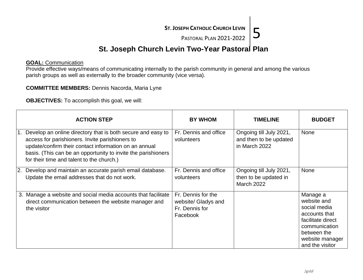EPH CATHOLIC CHURCH LEVIN  $\frac{5}{5}$ 

## **St. Joseph Church Levin Two-Year Pastoral Plan**

#### **GOAL:** Communication

Provide effective ways/means of communicating internally to the parish community in general and among the various parish groups as well as externally to the broader community (vice versa).

#### **COMMITTEE MEMBERS:** Dennis Nacorda, Maria Lyne

**OBJECTIVES:** To accomplish this goal, we will:

|                  | <b>ACTION STEP</b>                                                                                                                                                                                                                                                                    | <b>BY WHOM</b>                                                          | <b>TIMELINE</b>                                                       | <b>BUDGET</b>                                                                                                                                       |
|------------------|---------------------------------------------------------------------------------------------------------------------------------------------------------------------------------------------------------------------------------------------------------------------------------------|-------------------------------------------------------------------------|-----------------------------------------------------------------------|-----------------------------------------------------------------------------------------------------------------------------------------------------|
|                  | Develop an online directory that is both secure and easy to<br>access for parishioners. Invite parishioners to<br>update/confirm their contact information on an annual<br>basis. (This can be an opportunity to invite the parishioners<br>for their time and talent to the church.) | Fr. Dennis and office<br>volunteers                                     | Ongoing till July 2021,<br>and then to be updated<br>in March 2022    | <b>None</b>                                                                                                                                         |
| $\overline{2}$ . | Develop and maintain an accurate parish email database.<br>Update the email addresses that do not work.                                                                                                                                                                               | Fr. Dennis and office<br>volunteers                                     | Ongoing till July 2021,<br>then to be updated in<br><b>March 2022</b> | None                                                                                                                                                |
|                  | 3. Manage a website and social media accounts that facilitate<br>direct communication between the website manager and<br>the visitor                                                                                                                                                  | Fr. Dennis for the<br>website/ Gladys and<br>Fr. Dennis for<br>Facebook |                                                                       | Manage a<br>website and<br>social media<br>accounts that<br>facilitate direct<br>communication<br>between the<br>website manager<br>and the visitor |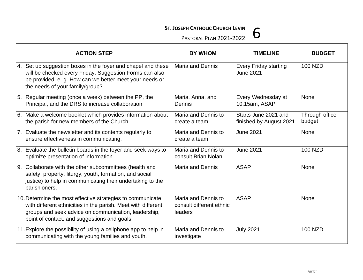SEPH CATHOLIC CHURCH LEVIN  $\bigg|6$ <br>PASTORAL PLAN 2021-2022

| <b>ACTION STEP</b>                                                                                                                                                                                                                  | <b>BY WHOM</b>                                             | <b>TIMELINE</b>                                  | <b>BUDGET</b>            |
|-------------------------------------------------------------------------------------------------------------------------------------------------------------------------------------------------------------------------------------|------------------------------------------------------------|--------------------------------------------------|--------------------------|
| 4. Set up suggestion boxes in the foyer and chapel and these<br>will be checked every Friday. Suggestion Forms can also<br>be provided. e. g. How can we better meet your needs or<br>the needs of your family/group?               | <b>Maria and Dennis</b>                                    | <b>Every Friday starting</b><br><b>June 2021</b> | <b>100 NZD</b>           |
| 5. Regular meeting (once a week) between the PP, the<br>Principal, and the DRS to increase collaboration                                                                                                                            | Maria, Anna, and<br>Dennis                                 | Every Wednesday at<br>10.15am, ASAP              | None                     |
| 6. Make a welcome booklet which provides information about<br>the parish for new members of the Church                                                                                                                              | Maria and Dennis to<br>create a team                       | Starts June 2021 and<br>finished by August 2021  | Through office<br>budget |
| 7. Evaluate the newsletter and its contents regularly to<br>ensure effectiveness in communicating.                                                                                                                                  | Maria and Dennis to<br>create a team                       | <b>June 2021</b>                                 | None                     |
| 8. Evaluate the bulletin boards in the foyer and seek ways to<br>optimize presentation of information.                                                                                                                              | Maria and Dennis to<br>consult Brian Nolan                 | <b>June 2021</b>                                 | <b>100 NZD</b>           |
| 9. Collaborate with the other subcommittees (health and<br>safety, property, liturgy, youth, formation, and social<br>justice) to help in communicating their undertaking to the<br>parishioners.                                   | Maria and Dennis                                           | <b>ASAP</b>                                      | None                     |
| 10. Determine the most effective strategies to communicate<br>with different ethnicities in the parish. Meet with different<br>groups and seek advice on communication, leadership,<br>point of contact, and suggestions and goals. | Maria and Dennis to<br>consult different ethnic<br>leaders | <b>ASAP</b>                                      | <b>None</b>              |
| 11. Explore the possibility of using a cellphone app to help in<br>communicating with the young families and youth.                                                                                                                 | Maria and Dennis to<br>investigate                         | <b>July 2021</b>                                 | <b>100 NZD</b>           |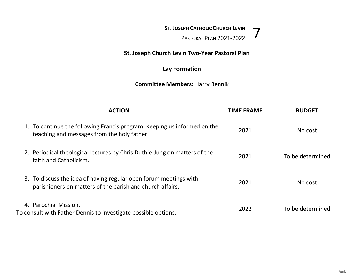**ST. JOSEPH CATHOLIC CHURCH LEVIN** SEPH CATHOLIC CHURCH LEVIN<br>  $\frac{P_{\text{PASTORAL PLAN}}}{P_{\text{RISTORAL PLAN}}}\right$ 

### **St. Joseph Church Levin Two-Year Pastoral Plan**

#### **Lay Formation**

### **Committee Members:** Harry Bennik

| <b>ACTION</b>                                                                                                                  | <b>TIME FRAME</b> | <b>BUDGET</b>    |
|--------------------------------------------------------------------------------------------------------------------------------|-------------------|------------------|
| 1. To continue the following Francis program. Keeping us informed on the<br>teaching and messages from the holy father.        | 2021              | No cost          |
| 2. Periodical theological lectures by Chris Duthie-Jung on matters of the<br>faith and Catholicism.                            | 2021              | To be determined |
| 3. To discuss the idea of having regular open forum meetings with<br>parishioners on matters of the parish and church affairs. | 2021              | No cost          |
| 4. Parochial Mission.<br>To consult with Father Dennis to investigate possible options.                                        | 2022              | To be determined |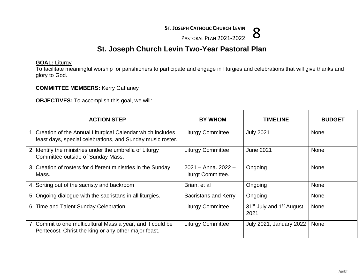EPH CATHOLIC CHURCH LEVIN  $8$ <br>PASTORAL PLAN 2021-2022

## **St. Joseph Church Levin Two-Year Pastoral Plan**

#### **GOAL:** Liturgy

To facilitate meaningful worship for parishioners to participate and engage in liturgies and celebrations that will give thanks and glory to God.

#### **COMMITTEE MEMBERS:** Kerry Gaffaney

**OBJECTIVES:** To accomplish this goal, we will:

| <b>ACTION STEP</b>                                                                                                         | <b>BY WHOM</b>                              | <b>TIMELINE</b>                                          | <b>BUDGET</b> |
|----------------------------------------------------------------------------------------------------------------------------|---------------------------------------------|----------------------------------------------------------|---------------|
| 1. Creation of the Annual Liturgical Calendar which includes<br>feast days, special celebrations, and Sunday music roster. | <b>Liturgy Committee</b>                    | <b>July 2021</b>                                         | <b>None</b>   |
| 2. Identify the ministries under the umbrella of Liturgy<br>Committee outside of Sunday Mass.                              | <b>Liturgy Committee</b>                    | <b>June 2021</b>                                         | <b>None</b>   |
| 3. Creation of rosters for different ministries in the Sunday<br>Mass.                                                     | $2021 -$ Anna, 2022 -<br>Liturgt Committee. | Ongoing                                                  | <b>None</b>   |
| 4. Sorting out of the sacristy and backroom                                                                                | Brian, et al                                | Ongoing                                                  | None          |
| 5. Ongoing dialogue with the sacristans in all liturgies.                                                                  | <b>Sacristans and Kerry</b>                 | Ongoing                                                  | None          |
| 6. Time and Talent Sunday Celebration                                                                                      | <b>Liturgy Committee</b>                    | 31 <sup>st</sup> July and 1 <sup>st</sup> August<br>2021 | <b>None</b>   |
| 7. Commit to one multicultural Mass a year, and it could be<br>Pentecost, Christ the king or any other major feast.        | <b>Liturgy Committee</b>                    | <b>July 2021, January 2022</b>                           | <b>None</b>   |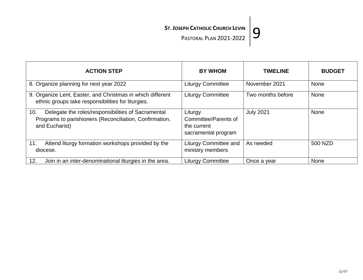SEPH CATHOLIC CHURCH LEVIN  $\big|9$ <br>PASTORAL PLAN 2021-2022

| <b>ACTION STEP</b>                                                                                                                     | <b>BY WHOM</b>                                                        | <b>TIMELINE</b>   | <b>BUDGET</b> |
|----------------------------------------------------------------------------------------------------------------------------------------|-----------------------------------------------------------------------|-------------------|---------------|
| 8. Organize planning for next year 2022                                                                                                | <b>Liturgy Committee</b>                                              | November 2021     | <b>None</b>   |
| 9. Organize Lent, Easter, and Christmas in which different<br>ethnic groups take responsibilities for liturgies.                       | <b>Liturgy Committee</b>                                              | Two months before | None          |
| Delegate the roles/responsibilities of Sacramental<br>10.<br>Programs to parishioners (Reconciliation, Confirmation,<br>and Eucharist) | Liturgy<br>Committee/Parents of<br>the current<br>sacramental program | <b>July 2021</b>  | None          |
| Attend liturgy formation workshops provided by the<br>11.<br>diocese.                                                                  | <b>Liturgy Committee and</b><br>ministry members                      | As needed         | 500 NZD       |
| Join in an inter-denominational liturgies in the area.<br>12.                                                                          | <b>Liturgy Committee</b>                                              | Once a year       | None          |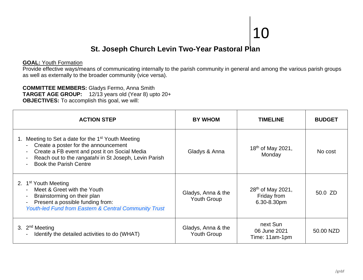## **St. Joseph Church Levin Two-Year Pastoral Plan**

#### **GOAL:** Youth Formation

Provide effective ways/means of communicating internally to the parish community in general and among the various parish groups as well as externally to the broader community (vice versa).

#### **COMMITTEE MEMBERS:** Gladys Fermo, Anna Smith **TARGET AGE GROUP:** 12/13 years old (Year 8) upto 20+ **OBJECTIVES:** To accomplish this goal, we will:

| <b>ACTION STEP</b>                                                                                                                                                                                                                             | <b>BY WHOM</b>                    | <b>TIMELINE</b>                                             | <b>BUDGET</b> |
|------------------------------------------------------------------------------------------------------------------------------------------------------------------------------------------------------------------------------------------------|-----------------------------------|-------------------------------------------------------------|---------------|
| Meeting to Set a date for the 1 <sup>st</sup> Youth Meeting<br>Create a poster for the announcement<br>Create a FB event and post it on Social Media<br>Reach out to the rangatahi in St Joseph, Levin Parish<br><b>Book the Parish Centre</b> | Gladys & Anna                     | 18 <sup>th</sup> of May 2021,<br>Monday                     | No cost       |
| 2. 1 <sup>st</sup> Youth Meeting<br>Meet & Greet with the Youth<br>Brainstorming on their plan<br>Present a possible funding from:<br><b>Youth-led Fund from Eastern &amp; Central Community Trust</b>                                         | Gladys, Anna & the<br>Youth Group | 28 <sup>th</sup> of May 2021,<br>Friday from<br>6.30-8.30pm | 50.0 ZD       |
| 3. $2nd$ Meeting<br>Identify the detailed activities to do (WHAT)                                                                                                                                                                              | Gladys, Anna & the<br>Youth Group | next Sun<br>06 June 2021<br>Time: 11am-1pm                  | 50.00 NZD     |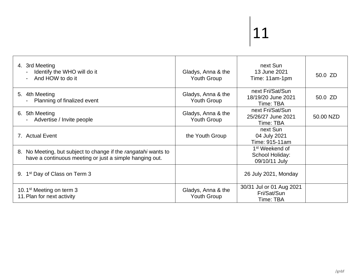| 4. 3rd Meeting<br>Identify the WHO will do it<br>And HOW to do it                                                         | Gladys, Anna & the<br><b>Youth Group</b> | next Sun<br>13 June 2021<br>Time: 11am-1pm                     | 50.0 ZD   |
|---------------------------------------------------------------------------------------------------------------------------|------------------------------------------|----------------------------------------------------------------|-----------|
| 5. 4th Meeting<br>Planning of finalized event                                                                             | Gladys, Anna & the<br><b>Youth Group</b> | next Fri/Sat/Sun<br>18/19/20 June 2021<br>Time: TBA            | 50.0 ZD   |
| 6. 5th Meeting<br>Advertise / Invite people                                                                               | Gladys, Anna & the<br><b>Youth Group</b> | next Fri/Sat/Sun<br>25/26/27 June 2021<br>Time: TBA            | 50.00 NZD |
| 7. Actual Event                                                                                                           | the Youth Group                          | next Sun<br>04 July 2021<br>Time: 915-11am                     |           |
| 8. No Meeting, but subject to change if the rangatahi wants to<br>have a continuous meeting or just a simple hanging out. |                                          | 1 <sup>st</sup> Weekend of<br>School Holiday:<br>09/10/11 July |           |
| 9. 1 <sup>st</sup> Day of Class on Term 3                                                                                 |                                          | 26 July 2021, Monday                                           |           |
| 10.1 <sup>st</sup> Meeting on term 3<br>11. Plan for next activity                                                        | Gladys, Anna & the<br><b>Youth Group</b> | 30/31 Jul or 01 Aug 2021<br>Fri/Sat/Sun<br>Time: TBA           |           |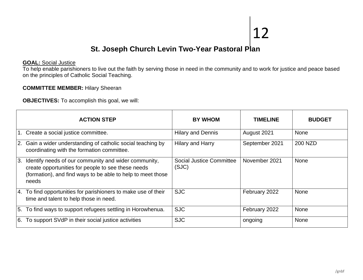## **St. Joseph Church Levin Two-Year Pastoral Plan**

#### **GOAL:** Social Justice

To help enable parishioners to live out the faith by serving those in need in the community and to work for justice and peace based on the principles of Catholic Social Teaching.

#### **COMMITTEE MEMBER:** Hilary Sheeran

**OBJECTIVES:** To accomplish this goal, we will:

|      | <b>ACTION STEP</b>                                                                                                                                                                 | <b>BY WHOM</b>                    | <b>TIMELINE</b> | <b>BUDGET</b> |
|------|------------------------------------------------------------------------------------------------------------------------------------------------------------------------------------|-----------------------------------|-----------------|---------------|
|      | 1. Create a social justice committee.                                                                                                                                              | <b>Hilary and Dennis</b>          | August 2021     | <b>None</b>   |
|      | 2. Gain a wider understanding of catholic social teaching by<br>coordinating with the formation committee.                                                                         | <b>Hilary and Harry</b>           | September 2021  | 200 NZD       |
| l 3. | Identify needs of our community and wider community,<br>create opportunities for people to see these needs<br>(formation), and find ways to be able to help to meet those<br>needs | Social Justice Committee<br>(SJC) | November 2021   | <b>None</b>   |
|      | 4. To find opportunities for parishioners to make use of their<br>time and talent to help those in need.                                                                           | <b>SJC</b>                        | February 2022   | <b>None</b>   |
|      | 5. To find ways to support refugees settling in Horowhenua.                                                                                                                        | <b>SJC</b>                        | February 2022   | None          |
| 6.   | To support SVdP in their social justice activities                                                                                                                                 | <b>SJC</b>                        | ongoing         | <b>None</b>   |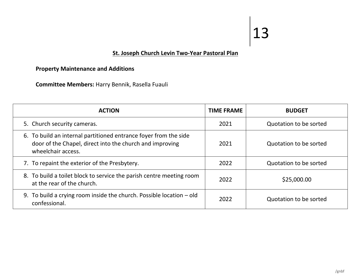## **St. Joseph Church Levin Two-Year Pastoral Plan**

### **Property Maintenance and Additions**

**Committee Members:** Harry Bennik, Rasella Fuauli

| <b>ACTION</b>                                                                                                                                      | <b>TIME FRAME</b> | <b>BUDGET</b>          |
|----------------------------------------------------------------------------------------------------------------------------------------------------|-------------------|------------------------|
| 5. Church security cameras.                                                                                                                        | 2021              | Quotation to be sorted |
| 6. To build an internal partitioned entrance foyer from the side<br>door of the Chapel, direct into the church and improving<br>wheelchair access. | 2021              | Quotation to be sorted |
| 7. To repaint the exterior of the Presbytery.                                                                                                      | 2022              | Quotation to be sorted |
| 8. To build a toilet block to service the parish centre meeting room<br>at the rear of the church.                                                 | 2022              | \$25,000.00            |
| 9. To build a crying room inside the church. Possible location $-\text{old}$<br>confessional.                                                      | 2022              | Quotation to be sorted |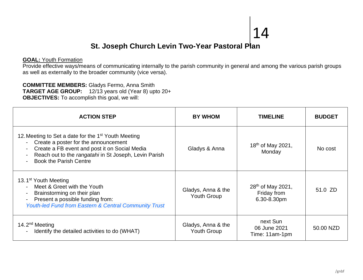## **St. Joseph Church Levin Two-Year Pastoral Plan**

#### **GOAL:** Youth Formation

Provide effective ways/means of communicating internally to the parish community in general and among the various parish groups as well as externally to the broader community (vice versa).

**COMMITTEE MEMBERS:** Gladys Fermo, Anna Smith **TARGET AGE GROUP:** 12/13 years old (Year 8) upto 20+ **OBJECTIVES:** To accomplish this goal, we will:

| <b>ACTION STEP</b>                                                                                                                                                                                                                                                                                                   | <b>BY WHOM</b>                           | <b>TIMELINE</b>                                             | <b>BUDGET</b> |
|----------------------------------------------------------------------------------------------------------------------------------------------------------------------------------------------------------------------------------------------------------------------------------------------------------------------|------------------------------------------|-------------------------------------------------------------|---------------|
| 12. Meeting to Set a date for the 1 <sup>st</sup> Youth Meeting<br>- Create a poster for the announcement<br>Create a FB event and post it on Social Media<br>$\blacksquare$<br>Reach out to the rangatahi in St Joseph, Levin Parish<br>$\blacksquare$<br><b>Book the Parish Centre</b><br>$\overline{\phantom{0}}$ | Gladys & Anna                            | 18 <sup>th</sup> of May 2021,<br>Monday                     | No cost       |
| 13.1 <sup>st</sup> Youth Meeting<br>Meet & Greet with the Youth<br>$\overline{\phantom{0}}$<br>Brainstorming on their plan<br>$\blacksquare$<br>Present a possible funding from:<br>$\blacksquare$<br><b>Youth-led Fund from Eastern &amp; Central Community Trust</b>                                               | Gladys, Anna & the<br><b>Youth Group</b> | 28 <sup>th</sup> of May 2021,<br>Friday from<br>6.30-8.30pm | 51.0 ZD       |
| 14.2 $nd$ Meeting<br>Identify the detailed activities to do (WHAT)<br>$\blacksquare$                                                                                                                                                                                                                                 | Gladys, Anna & the<br>Youth Group        | next Sun<br>06 June 2021<br>Time: 11am-1pm                  | 50.00 NZD     |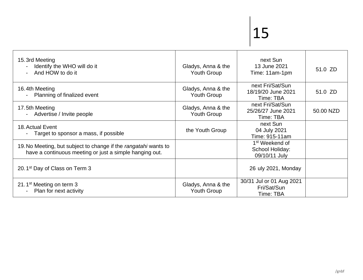| 15.3rd Meeting<br>Identify the WHO will do it<br>And HOW to do it                                                          | Gladys, Anna & the<br><b>Youth Group</b> | next Sun<br>13 June 2021<br>Time: 11am-1pm                     | 51.0 ZD   |
|----------------------------------------------------------------------------------------------------------------------------|------------------------------------------|----------------------------------------------------------------|-----------|
| 16.4th Meeting<br>Planning of finalized event                                                                              | Gladys, Anna & the<br><b>Youth Group</b> | next Fri/Sat/Sun<br>18/19/20 June 2021<br>Time: TBA            | 51.0 ZD   |
| 17.5th Meeting<br>Advertise / Invite people                                                                                | Gladys, Anna & the<br>Youth Group        | next Fri/Sat/Sun<br>25/26/27 June 2021<br>Time: TBA            | 50.00 NZD |
| 18. Actual Event<br>Target to sponsor a mass, if possible                                                                  | the Youth Group                          | next Sun<br>04 July 2021<br>Time: 915-11am                     |           |
| 19. No Meeting, but subject to change if the rangatahi wants to<br>have a continuous meeting or just a simple hanging out. |                                          | 1 <sup>st</sup> Weekend of<br>School Holiday:<br>09/10/11 July |           |
| 20.1 <sup>st</sup> Day of Class on Term 3                                                                                  |                                          | 26 uly 2021, Monday                                            |           |
| 21.1 <sup>st</sup> Meeting on term 3<br>Plan for next activity                                                             | Gladys, Anna & the<br><b>Youth Group</b> | 30/31 Jul or 01 Aug 2021<br>Fri/Sat/Sun<br>Time: TBA           |           |